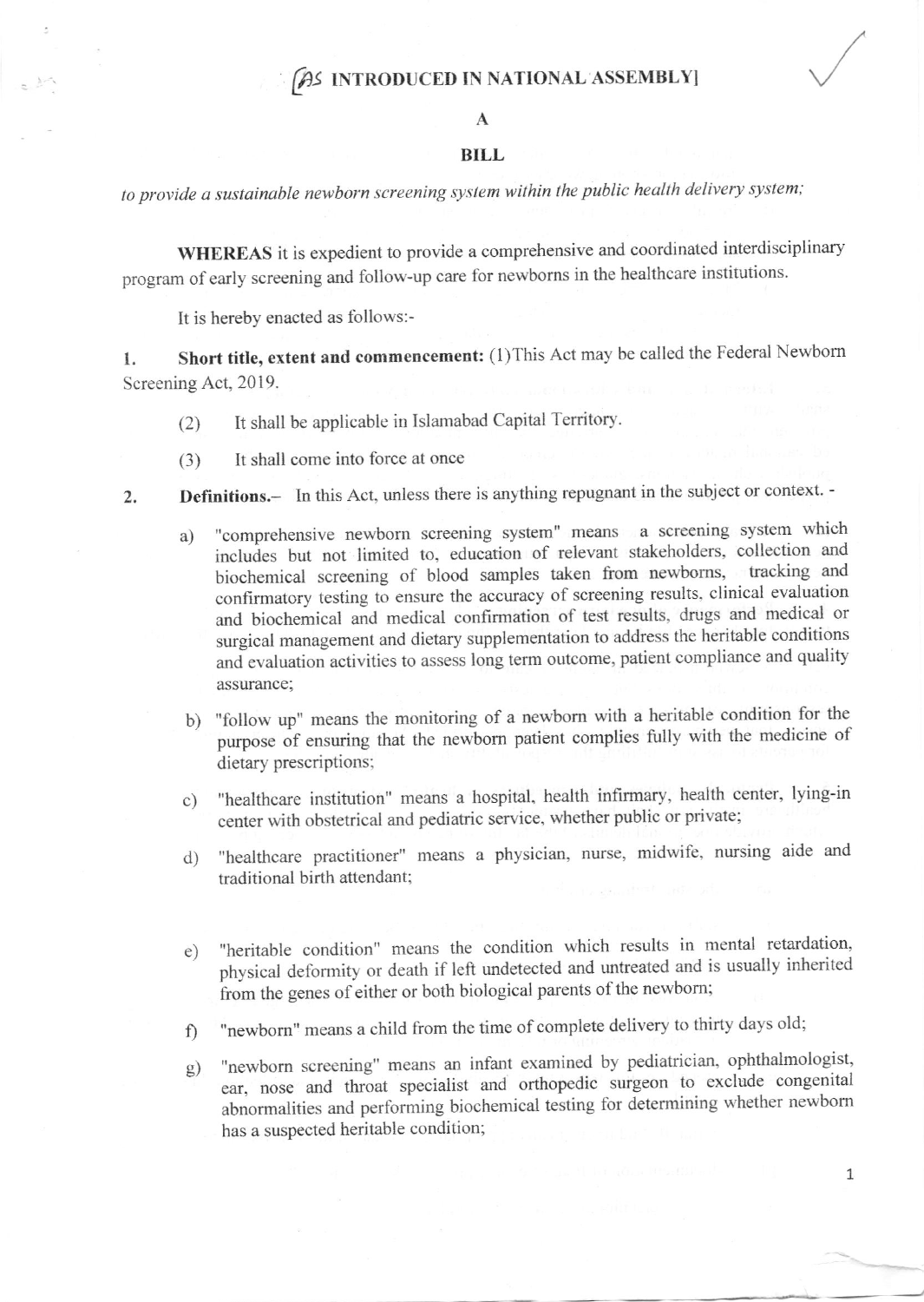## (AS INTRODUCED IN NATIONAL ASSEMBLY)

## A

## BILL

to provide a sustainable newborn screening system within the public health delivery system;

WHEREAS it is expedient to provide a comprehensive and coordinated interdisciplinary program of early screening and follow-up care for newborns in the healthcare institutions.

It is hereby enacted as follows:-

1. Short title, extent and commencement: (1) This Act may be called the Federal Newborn Screening Act, 2019.

- (2) It shall be applicable in Islamabad Capital Territory'
- (3) It shall come into force at once
- 2. **Definitions.** In this Act, unless there is anything repugnant in the subject or context.
	- a) "comprehensive newborn screening system" means a screening system which ' includes but not limited to, education of relevant stakeholders, collection and biochemical screening of blood samples taken from newboms, tracking and confirmatory testing to ensure the accwacy of screening results. clinical evaluation and biochemical and medical confirmation of test results, drugs and medical or surgical management and dietary supplementation to address the heritable conditions and evaluation activities to assess long term outcome, patient compliance and quality assurance;
	- b) "follow up" means the monitoring of a newborn with a heritable condition for the purpose of ensuring that the newborn patient complies fully with the medicine of dietary prescriptions;
	- c) "healthcare institution" means a hospital, health infirmary, health center, lying-in center with obstetrical and pediatric service, whether public or private;
	- d) "healthcare practitioner" means a physician, nurse, midwife, nursing aide and traditional birth attendant;
	- "heritable condition" means the condition which results in mental retardation, physical deformity or death if left undetected and untreated and is usually inherited from the genes of either or both biological parents of the newborn; e)
	- "newborn" means a child from the time of complete delivery to thirty days old; f)
	- "newborn screening" means an infant examined by pediatrician, ophthalmologist, ear, nose and throat specialist and orthopedic surgeon to exclude congenital abnormalities and performing biochemical testing for determining whether newborn has a suspected heritable condition; s)

1